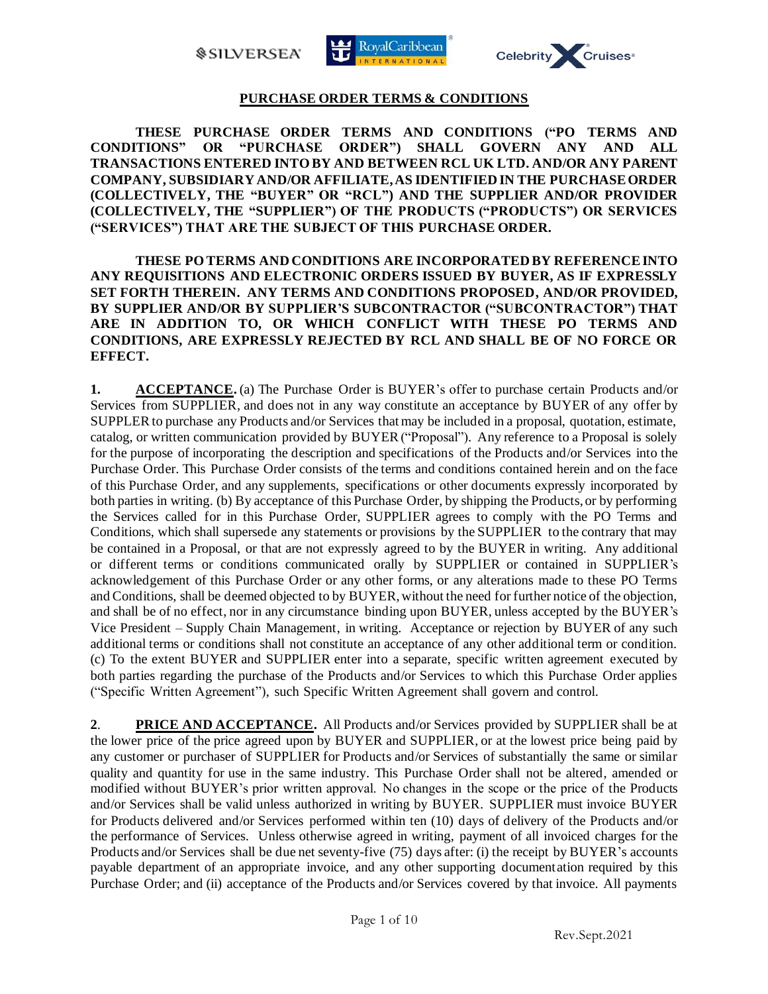*SILVERSEA* 





## **PURCHASE ORDER TERMS & CONDITIONS**

**THESE PURCHASE ORDER TERMS AND CONDITIONS ("PO TERMS AND CONDITIONS" OR "PURCHASE ORDER") SHALL GOVERN ANY AND ALL TRANSACTIONS ENTERED INTO BY AND BETWEEN RCL UK LTD. AND/OR ANY PARENT COMPANY, SUBSIDIARY AND/OR AFFILIATE, AS IDENTIFIED IN THE PURCHASE ORDER (COLLECTIVELY, THE "BUYER" OR "RCL") AND THE SUPPLIER AND/OR PROVIDER (COLLECTIVELY, THE "SUPPLIER") OF THE PRODUCTS ("PRODUCTS") OR SERVICES ("SERVICES") THAT ARE THE SUBJECT OF THIS PURCHASE ORDER.** 

**THESE PO TERMS AND CONDITIONS ARE INCORPORATED BY REFERENCE INTO ANY REQUISITIONS AND ELECTRONIC ORDERS ISSUED BY BUYER, AS IF EXPRESSLY SET FORTH THEREIN. ANY TERMS AND CONDITIONS PROPOSED, AND/OR PROVIDED, BY SUPPLIER AND/OR BY SUPPLIER'S SUBCONTRACTOR ("SUBCONTRACTOR") THAT ARE IN ADDITION TO, OR WHICH CONFLICT WITH THESE PO TERMS AND CONDITIONS, ARE EXPRESSLY REJECTED BY RCL AND SHALL BE OF NO FORCE OR EFFECT.**

**1. ACCEPTANCE.** (a) The Purchase Order is BUYER's offer to purchase certain Products and/or Services from SUPPLIER, and does not in any way constitute an acceptance by BUYER of any offer by SUPPLER to purchase any Products and/or Services that may be included in a proposal, quotation, estimate, catalog, or written communication provided by BUYER("Proposal"). Any reference to a Proposal is solely for the purpose of incorporating the description and specifications of the Products and/or Services into the Purchase Order. This Purchase Order consists of the terms and conditions contained herein and on the face of this Purchase Order, and any supplements, specifications or other documents expressly incorporated by both parties in writing. (b) By acceptance of this Purchase Order, by shipping the Products, or by performing the Services called for in this Purchase Order, SUPPLIER agrees to comply with the PO Terms and Conditions, which shall supersede any statements or provisions by the SUPPLIER to the contrary that may be contained in a Proposal, or that are not expressly agreed to by the BUYER in writing. Any additional or different terms or conditions communicated orally by SUPPLIER or contained in SUPPLIER's acknowledgement of this Purchase Order or any other forms, or any alterations made to these PO Terms and Conditions, shall be deemed objected to by BUYER, without the need for further notice of the objection, and shall be of no effect, nor in any circumstance binding upon BUYER, unless accepted by the BUYER's Vice President – Supply Chain Management, in writing. Acceptance or rejection by BUYER of any such additional terms or conditions shall not constitute an acceptance of any other additional term or condition. (c) To the extent BUYER and SUPPLIER enter into a separate, specific written agreement executed by both parties regarding the purchase of the Products and/or Services to which this Purchase Order applies ("Specific Written Agreement"), such Specific Written Agreement shall govern and control.

**2**. **PRICE AND ACCEPTANCE.** All Products and/or Services provided by SUPPLIER shall be at the lower price of the price agreed upon by BUYER and SUPPLIER, or at the lowest price being paid by any customer or purchaser of SUPPLIER for Products and/or Services of substantially the same or similar quality and quantity for use in the same industry. This Purchase Order shall not be altered, amended or modified without BUYER's prior written approval. No changes in the scope or the price of the Products and/or Services shall be valid unless authorized in writing by BUYER. SUPPLIER must invoice BUYER for Products delivered and/or Services performed within ten (10) days of delivery of the Products and/or the performance of Services. Unless otherwise agreed in writing, payment of all invoiced charges for the Products and/or Services shall be due net seventy-five (75) days after: (i) the receipt by BUYER's accounts payable department of an appropriate invoice, and any other supporting documentation required by this Purchase Order; and (ii) acceptance of the Products and/or Services covered by that invoice. All payments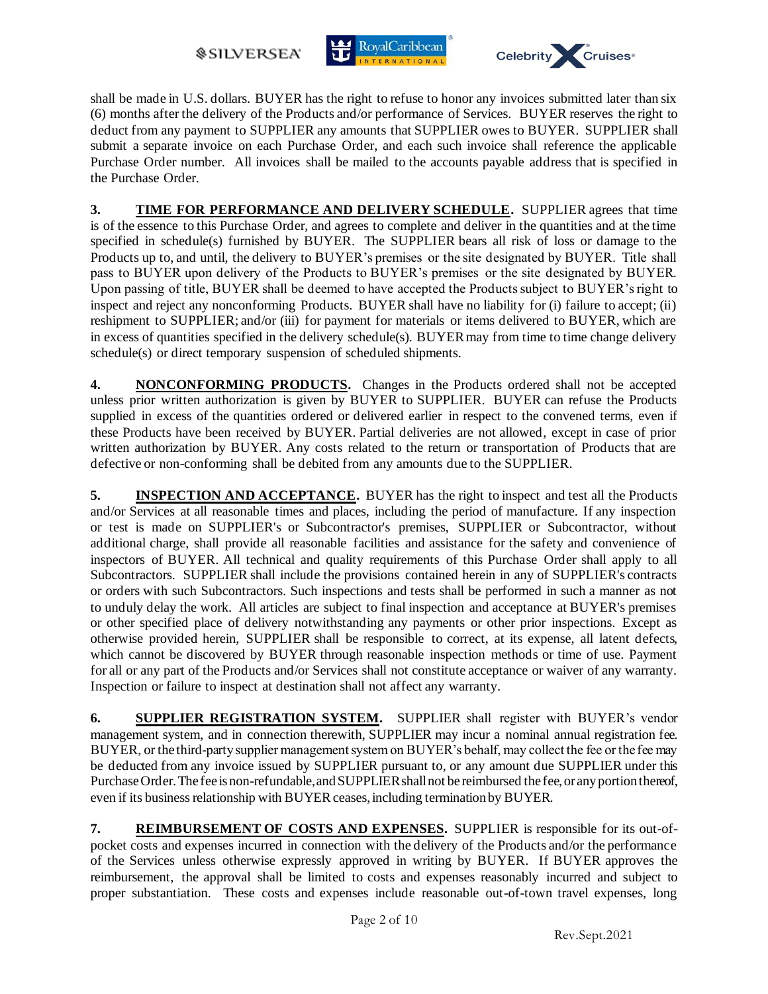*SILVERSEA* 





shall be made in U.S. dollars. BUYER has the right to refuse to honor any invoices submitted later than six (6) months after the delivery of the Products and/or performance of Services. BUYER reserves the right to deduct from any payment to SUPPLIER any amounts that SUPPLIER owes to BUYER. SUPPLIER shall submit a separate invoice on each Purchase Order, and each such invoice shall reference the applicable Purchase Order number. All invoices shall be mailed to the accounts payable address that is specified in the Purchase Order.

**3. TIME FOR PERFORMANCE AND DELIVERY SCHEDULE.** SUPPLIER agrees that time is of the essence to this Purchase Order, and agrees to complete and deliver in the quantities and at the time specified in schedule(s) furnished by BUYER. The SUPPLIER bears all risk of loss or damage to the Products up to, and until, the delivery to BUYER's premises or the site designated by BUYER. Title shall pass to BUYER upon delivery of the Products to BUYER's premises or the site designated by BUYER. Upon passing of title, BUYER shall be deemed to have accepted the Products subject to BUYER's right to inspect and reject any nonconforming Products. BUYER shall have no liability for (i) failure to accept; (ii) reshipment to SUPPLIER; and/or (iii) for payment for materials or items delivered to BUYER, which are in excess of quantities specified in the delivery schedule(s). BUYER may from time to time change delivery schedule(s) or direct temporary suspension of scheduled shipments.

**4. NONCONFORMING PRODUCTS.** Changes in the Products ordered shall not be accepted unless prior written authorization is given by BUYER to SUPPLIER. BUYER can refuse the Products supplied in excess of the quantities ordered or delivered earlier in respect to the convened terms, even if these Products have been received by BUYER. Partial deliveries are not allowed, except in case of prior written authorization by BUYER. Any costs related to the return or transportation of Products that are defective or non-conforming shall be debited from any amounts due to the SUPPLIER.

**5. INSPECTION AND ACCEPTANCE.** BUYER has the right to inspect and test all the Products and/or Services at all reasonable times and places, including the period of manufacture. If any inspection or test is made on SUPPLIER's or Subcontractor's premises, SUPPLIER or Subcontractor, without additional charge, shall provide all reasonable facilities and assistance for the safety and convenience of inspectors of BUYER. All technical and quality requirements of this Purchase Order shall apply to all Subcontractors. SUPPLIER shall include the provisions contained herein in any of SUPPLIER's contracts or orders with such Subcontractors. Such inspections and tests shall be performed in such a manner as not to unduly delay the work. All articles are subject to final inspection and acceptance at BUYER's premises or other specified place of delivery notwithstanding any payments or other prior inspections. Except as otherwise provided herein, SUPPLIER shall be responsible to correct, at its expense, all latent defects, which cannot be discovered by BUYER through reasonable inspection methods or time of use. Payment for all or any part of the Products and/or Services shall not constitute acceptance or waiver of any warranty. Inspection or failure to inspect at destination shall not affect any warranty.

**6. SUPPLIER REGISTRATION SYSTEM.** SUPPLIER shall register with BUYER's vendor management system, and in connection therewith, SUPPLIER may incur a nominal annual registration fee. BUYER, or the third-party supplier management system on BUYER's behalf, may collect the fee or the fee may be deducted from any invoice issued by SUPPLIER pursuant to, or any amount due SUPPLIER under this Purchase Order. The fee is non-refundable, and SUPPLIER shall not be reimbursed the fee, or any portion thereof, even if its business relationship with BUYER ceases, including termination by BUYER.

**7. REIMBURSEMENT OF COSTS AND EXPENSES.** SUPPLIER is responsible for its out-ofpocket costs and expenses incurred in connection with the delivery of the Products and/or the performance of the Services unless otherwise expressly approved in writing by BUYER. If BUYER approves the reimbursement, the approval shall be limited to costs and expenses reasonably incurred and subject to proper substantiation. These costs and expenses include reasonable out-of-town travel expenses, long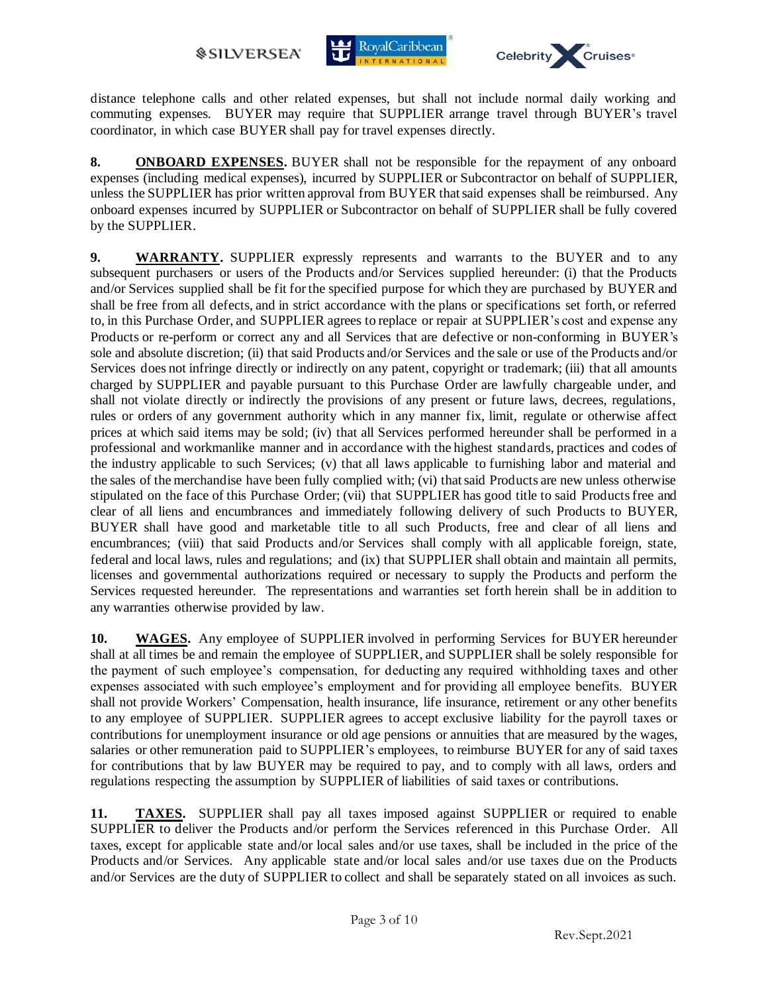



distance telephone calls and other related expenses, but shall not include normal daily working and commuting expenses. BUYER may require that SUPPLIER arrange travel through BUYER's travel coordinator, in which case BUYER shall pay for travel expenses directly.

**8. ONBOARD EXPENSES.** BUYER shall not be responsible for the repayment of any onboard expenses (including medical expenses), incurred by SUPPLIER or Subcontractor on behalf of SUPPLIER, unless the SUPPLIER has prior written approval from BUYER that said expenses shall be reimbursed. Any onboard expenses incurred by SUPPLIER or Subcontractor on behalf of SUPPLIER shall be fully covered by the SUPPLIER.

**9. WARRANTY.** SUPPLIER expressly represents and warrants to the BUYER and to any subsequent purchasers or users of the Products and/or Services supplied hereunder: (i) that the Products and/or Services supplied shall be fit for the specified purpose for which they are purchased by BUYER and shall be free from all defects, and in strict accordance with the plans or specifications set forth, or referred to, in this Purchase Order, and SUPPLIER agrees to replace or repair at SUPPLIER's cost and expense any Products or re-perform or correct any and all Services that are defective or non-conforming in BUYER's sole and absolute discretion; (ii) that said Products and/or Services and the sale or use of the Products and/or Services does not infringe directly or indirectly on any patent, copyright or trademark; (iii) that all amounts charged by SUPPLIER and payable pursuant to this Purchase Order are lawfully chargeable under, and shall not violate directly or indirectly the provisions of any present or future laws, decrees, regulations, rules or orders of any government authority which in any manner fix, limit, regulate or otherwise affect prices at which said items may be sold; (iv) that all Services performed hereunder shall be performed in a professional and workmanlike manner and in accordance with the highest standards, practices and codes of the industry applicable to such Services; (v) that all laws applicable to furnishing labor and material and the sales of the merchandise have been fully complied with; (vi) that said Products are new unless otherwise stipulated on the face of this Purchase Order; (vii) that SUPPLIER has good title to said Products free and clear of all liens and encumbrances and immediately following delivery of such Products to BUYER, BUYER shall have good and marketable title to all such Products, free and clear of all liens and encumbrances; (viii) that said Products and/or Services shall comply with all applicable foreign, state, federal and local laws, rules and regulations; and (ix) that SUPPLIER shall obtain and maintain all permits, licenses and governmental authorizations required or necessary to supply the Products and perform the Services requested hereunder. The representations and warranties set forth herein shall be in addition to any warranties otherwise provided by law.

**10. WAGES.** Any employee of SUPPLIER involved in performing Services for BUYER hereunder shall at all times be and remain the employee of SUPPLIER, and SUPPLIER shall be solely responsible for the payment of such employee's compensation, for deducting any required withholding taxes and other expenses associated with such employee's employment and for providing all employee benefits. BUYER shall not provide Workers' Compensation, health insurance, life insurance, retirement or any other benefits to any employee of SUPPLIER. SUPPLIER agrees to accept exclusive liability for the payroll taxes or contributions for unemployment insurance or old age pensions or annuities that are measured by the wages, salaries or other remuneration paid to SUPPLIER's employees, to reimburse BUYER for any of said taxes for contributions that by law BUYER may be required to pay, and to comply with all laws, orders and regulations respecting the assumption by SUPPLIER of liabilities of said taxes or contributions.

**11. TAXES.** SUPPLIER shall pay all taxes imposed against SUPPLIER or required to enable SUPPLIER to deliver the Products and/or perform the Services referenced in this Purchase Order. All taxes, except for applicable state and/or local sales and/or use taxes, shall be included in the price of the Products and/or Services. Any applicable state and/or local sales and/or use taxes due on the Products and/or Services are the duty of SUPPLIER to collect and shall be separately stated on all invoices as such.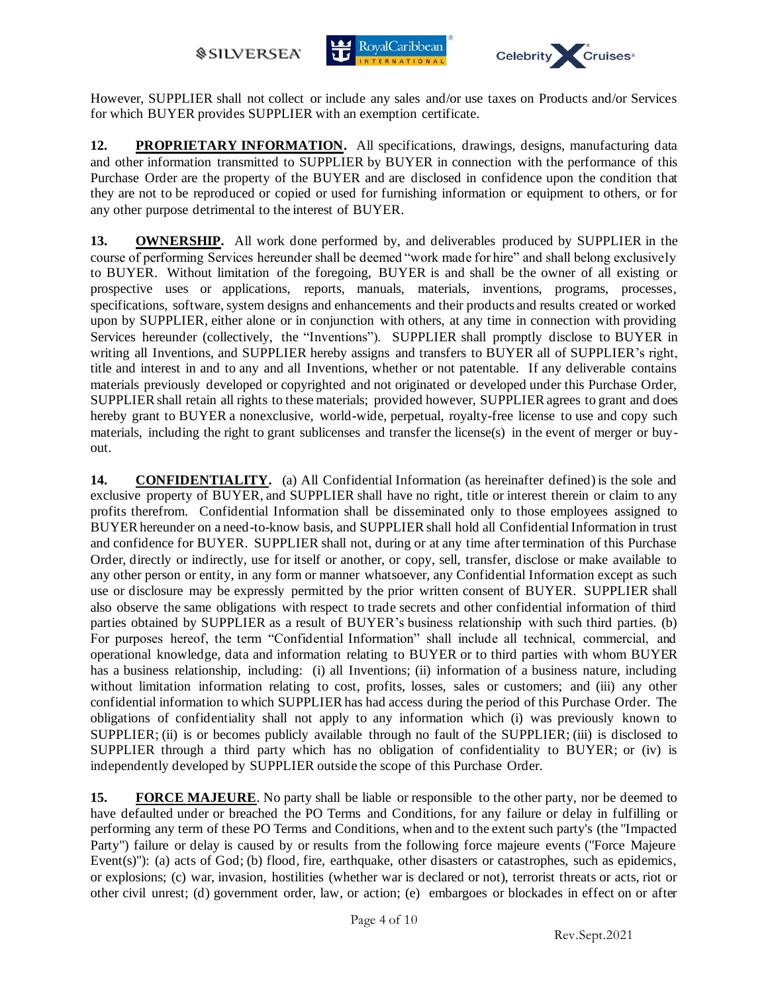



However, SUPPLIER shall not collect or include any sales and/or use taxes on Products and/or Services for which BUYER provides SUPPLIER with an exemption certificate.

**12. PROPRIETARY INFORMATION.** All specifications, drawings, designs, manufacturing data and other information transmitted to SUPPLIER by BUYER in connection with the performance of this Purchase Order are the property of the BUYER and are disclosed in confidence upon the condition that they are not to be reproduced or copied or used for furnishing information or equipment to others, or for any other purpose detrimental to the interest of BUYER.

**13. OWNERSHIP.** All work done performed by, and deliverables produced by SUPPLIER in the course of performing Services hereunder shall be deemed "work made for hire" and shall belong exclusively to BUYER. Without limitation of the foregoing, BUYER is and shall be the owner of all existing or prospective uses or applications, reports, manuals, materials, inventions, programs, processes, specifications, software, system designs and enhancements and their products and results created or worked upon by SUPPLIER, either alone or in conjunction with others, at any time in connection with providing Services hereunder (collectively, the "Inventions"). SUPPLIER shall promptly disclose to BUYER in writing all Inventions, and SUPPLIER hereby assigns and transfers to BUYER all of SUPPLIER's right, title and interest in and to any and all Inventions, whether or not patentable. If any deliverable contains materials previously developed or copyrighted and not originated or developed under this Purchase Order, SUPPLIER shall retain all rights to these materials; provided however, SUPPLIER agrees to grant and does hereby grant to BUYER a nonexclusive, world-wide, perpetual, royalty-free license to use and copy such materials, including the right to grant sublicenses and transfer the license(s) in the event of merger or buyout.

**14. CONFIDENTIALITY.** (a) All Confidential Information (as hereinafter defined) is the sole and exclusive property of BUYER, and SUPPLIER shall have no right, title or interest therein or claim to any profits therefrom. Confidential Information shall be disseminated only to those employees assigned to BUYER hereunder on a need-to-know basis, and SUPPLIER shall hold all Confidential Information in trust and confidence for BUYER. SUPPLIER shall not, during or at any time after termination of this Purchase Order, directly or indirectly, use for itself or another, or copy, sell, transfer, disclose or make available to any other person or entity, in any form or manner whatsoever, any Confidential Information except as such use or disclosure may be expressly permitted by the prior written consent of BUYER. SUPPLIER shall also observe the same obligations with respect to trade secrets and other confidential information of third parties obtained by SUPPLIER as a result of BUYER's business relationship with such third parties. (b) For purposes hereof, the term "Confidential Information" shall include all technical, commercial, and operational knowledge, data and information relating to BUYER or to third parties with whom BUYER has a business relationship, including: (i) all Inventions; (ii) information of a business nature, including without limitation information relating to cost, profits, losses, sales or customers; and (iii) any other confidential information to which SUPPLIERhas had access during the period of this Purchase Order. The obligations of confidentiality shall not apply to any information which (i) was previously known to SUPPLIER; (ii) is or becomes publicly available through no fault of the SUPPLIER; (iii) is disclosed to SUPPLIER through a third party which has no obligation of confidentiality to BUYER; or (iv) is independently developed by SUPPLIER outside the scope of this Purchase Order.

**15. FORCE MAJEURE**. No party shall be liable or responsible to the other party, nor be deemed to have defaulted under or breached the PO Terms and Conditions, for any failure or delay in fulfilling or performing any term of these PO Terms and Conditions, when and to the extent such party's (the "Impacted Party") failure or delay is caused by or results from the following force majeure events ("Force Majeure Event(s)"): (a) acts of God; (b) flood, fire, earthquake, other disasters or catastrophes, such as epidemics, or explosions; (c) war, invasion, hostilities (whether war is declared or not), terrorist threats or acts, riot or other civil unrest; (d) government order, law, or action; (e) embargoes or blockades in effect on or after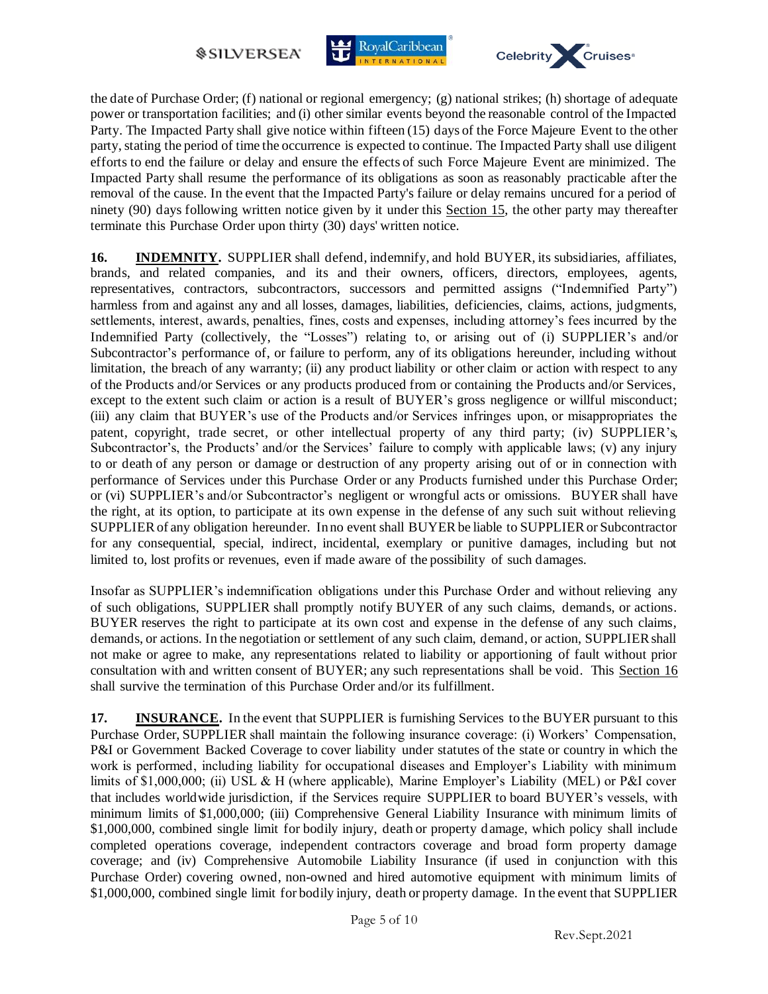



the date of Purchase Order; (f) national or regional emergency; (g) national strikes; (h) shortage of adequate power or transportation facilities; and (i) other similar events beyond the reasonable control of the Impacted Party. The Impacted Party shall give notice within fifteen (15) days of the Force Majeure Event to the other party, stating the period of time the occurrence is expected to continue. The Impacted Party shall use diligent efforts to end the failure or delay and ensure the effects of such Force Majeure Event are minimized. The Impacted Party shall resume the performance of its obligations as soon as reasonably practicable after the removal of the cause. In the event that the Impacted Party's failure or delay remains uncured for a period of ninety (90) days following written notice given by it under this Section 15, the other party may thereafter terminate this Purchase Order upon thirty (30) days' written notice.

**16. INDEMNITY.** SUPPLIER shall defend, indemnify, and hold BUYER, its subsidiaries, affiliates, brands, and related companies, and its and their owners, officers, directors, employees, agents, representatives, contractors, subcontractors, successors and permitted assigns ("Indemnified Party") harmless from and against any and all losses, damages, liabilities, deficiencies, claims, actions, judgments, settlements, interest, awards, penalties, fines, costs and expenses, including attorney's fees incurred by the Indemnified Party (collectively, the "Losses") relating to, or arising out of (i) SUPPLIER's and/or Subcontractor's performance of, or failure to perform, any of its obligations hereunder, including without limitation, the breach of any warranty; (ii) any product liability or other claim or action with respect to any of the Products and/or Services or any products produced from or containing the Products and/or Services, except to the extent such claim or action is a result of BUYER's gross negligence or willful misconduct; (iii) any claim that BUYER's use of the Products and/or Services infringes upon, or misappropriates the patent, copyright, trade secret, or other intellectual property of any third party; (iv) SUPPLIER's, Subcontractor's, the Products' and/or the Services' failure to comply with applicable laws; (v) any injury to or death of any person or damage or destruction of any property arising out of or in connection with performance of Services under this Purchase Order or any Products furnished under this Purchase Order; or (vi) SUPPLIER's and/or Subcontractor's negligent or wrongful acts or omissions. BUYER shall have the right, at its option, to participate at its own expense in the defense of any such suit without relieving SUPPLIER of any obligation hereunder. In no event shall BUYER be liable to SUPPLIER or Subcontractor for any consequential, special, indirect, incidental, exemplary or punitive damages, including but not limited to, lost profits or revenues, even if made aware of the possibility of such damages.

Insofar as SUPPLIER's indemnification obligations under this Purchase Order and without relieving any of such obligations, SUPPLIER shall promptly notify BUYER of any such claims, demands, or actions. BUYER reserves the right to participate at its own cost and expense in the defense of any such claims, demands, or actions. In the negotiation or settlement of any such claim, demand, or action, SUPPLIER shall not make or agree to make, any representations related to liability or apportioning of fault without prior consultation with and written consent of BUYER; any such representations shall be void. This Section 16 shall survive the termination of this Purchase Order and/or its fulfillment.

**17. INSURANCE.** In the event that SUPPLIER is furnishing Services to the BUYER pursuant to this Purchase Order, SUPPLIER shall maintain the following insurance coverage: (i) Workers' Compensation, P&I or Government Backed Coverage to cover liability under statutes of the state or country in which the work is performed, including liability for occupational diseases and Employer's Liability with minimum limits of \$1,000,000; (ii) USL & H (where applicable), Marine Employer's Liability (MEL) or P&I cover that includes worldwide jurisdiction, if the Services require SUPPLIER to board BUYER's vessels, with minimum limits of \$1,000,000; (iii) Comprehensive General Liability Insurance with minimum limits of \$1,000,000, combined single limit for bodily injury, death or property damage, which policy shall include completed operations coverage, independent contractors coverage and broad form property damage coverage; and (iv) Comprehensive Automobile Liability Insurance (if used in conjunction with this Purchase Order) covering owned, non-owned and hired automotive equipment with minimum limits of \$1,000,000, combined single limit for bodily injury, death or property damage. In the event that SUPPLIER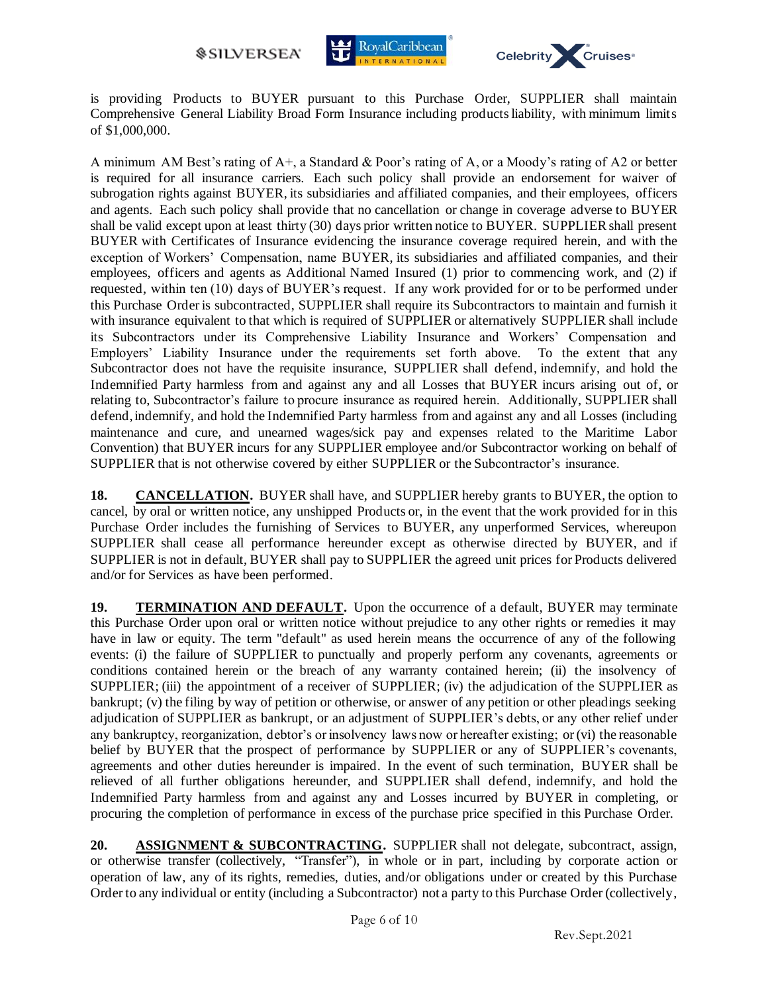



is providing Products to BUYER pursuant to this Purchase Order, SUPPLIER shall maintain Comprehensive General Liability Broad Form Insurance including products liability, with minimum limits of \$1,000,000.

A minimum AM Best's rating of A+, a Standard & Poor's rating of A, or a Moody's rating of A2 or better is required for all insurance carriers. Each such policy shall provide an endorsement for waiver of subrogation rights against BUYER, its subsidiaries and affiliated companies, and their employees, officers and agents. Each such policy shall provide that no cancellation or change in coverage adverse to BUYER shall be valid except upon at least thirty (30) days prior written notice to BUYER. SUPPLIER shall present BUYER with Certificates of Insurance evidencing the insurance coverage required herein, and with the exception of Workers' Compensation, name BUYER, its subsidiaries and affiliated companies, and their employees, officers and agents as Additional Named Insured (1) prior to commencing work, and (2) if requested, within ten (10) days of BUYER's request. If any work provided for or to be performed under this Purchase Order is subcontracted, SUPPLIER shall require its Subcontractors to maintain and furnish it with insurance equivalent to that which is required of SUPPLIER or alternatively SUPPLIER shall include its Subcontractors under its Comprehensive Liability Insurance and Workers' Compensation and Employers' Liability Insurance under the requirements set forth above. To the extent that any Subcontractor does not have the requisite insurance, SUPPLIER shall defend, indemnify, and hold the Indemnified Party harmless from and against any and all Losses that BUYER incurs arising out of, or relating to, Subcontractor's failure to procure insurance as required herein. Additionally, SUPPLIER shall defend, indemnify, and hold the Indemnified Party harmless from and against any and all Losses (including maintenance and cure, and unearned wages/sick pay and expenses related to the Maritime Labor Convention) that BUYER incurs for any SUPPLIER employee and/or Subcontractor working on behalf of SUPPLIER that is not otherwise covered by either SUPPLIER or the Subcontractor's insurance.

**18. CANCELLATION.** BUYER shall have, and SUPPLIER hereby grants to BUYER, the option to cancel, by oral or written notice, any unshipped Products or, in the event that the work provided for in this Purchase Order includes the furnishing of Services to BUYER, any unperformed Services, whereupon SUPPLIER shall cease all performance hereunder except as otherwise directed by BUYER, and if SUPPLIER is not in default, BUYER shall pay to SUPPLIER the agreed unit prices for Products delivered and/or for Services as have been performed.

**19. TERMINATION AND DEFAULT.** Upon the occurrence of a default, BUYER may terminate this Purchase Order upon oral or written notice without prejudice to any other rights or remedies it may have in law or equity. The term "default" as used herein means the occurrence of any of the following events: (i) the failure of SUPPLIER to punctually and properly perform any covenants, agreements or conditions contained herein or the breach of any warranty contained herein; (ii) the insolvency of SUPPLIER; (iii) the appointment of a receiver of SUPPLIER; (iv) the adjudication of the SUPPLIER as bankrupt; (v) the filing by way of petition or otherwise, or answer of any petition or other pleadings seeking adjudication of SUPPLIER as bankrupt, or an adjustment of SUPPLIER's debts, or any other relief under any bankruptcy, reorganization, debtor's or insolvency laws now or hereafter existing; or (vi) the reasonable belief by BUYER that the prospect of performance by SUPPLIER or any of SUPPLIER's covenants, agreements and other duties hereunder is impaired. In the event of such termination, BUYER shall be relieved of all further obligations hereunder, and SUPPLIER shall defend, indemnify, and hold the Indemnified Party harmless from and against any and Losses incurred by BUYER in completing, or procuring the completion of performance in excess of the purchase price specified in this Purchase Order.

**20. ASSIGNMENT & SUBCONTRACTING.** SUPPLIER shall not delegate, subcontract, assign, or otherwise transfer (collectively, "Transfer"), in whole or in part, including by corporate action or operation of law, any of its rights, remedies, duties, and/or obligations under or created by this Purchase Order to any individual or entity (including a Subcontractor) not a party to this Purchase Order (collectively,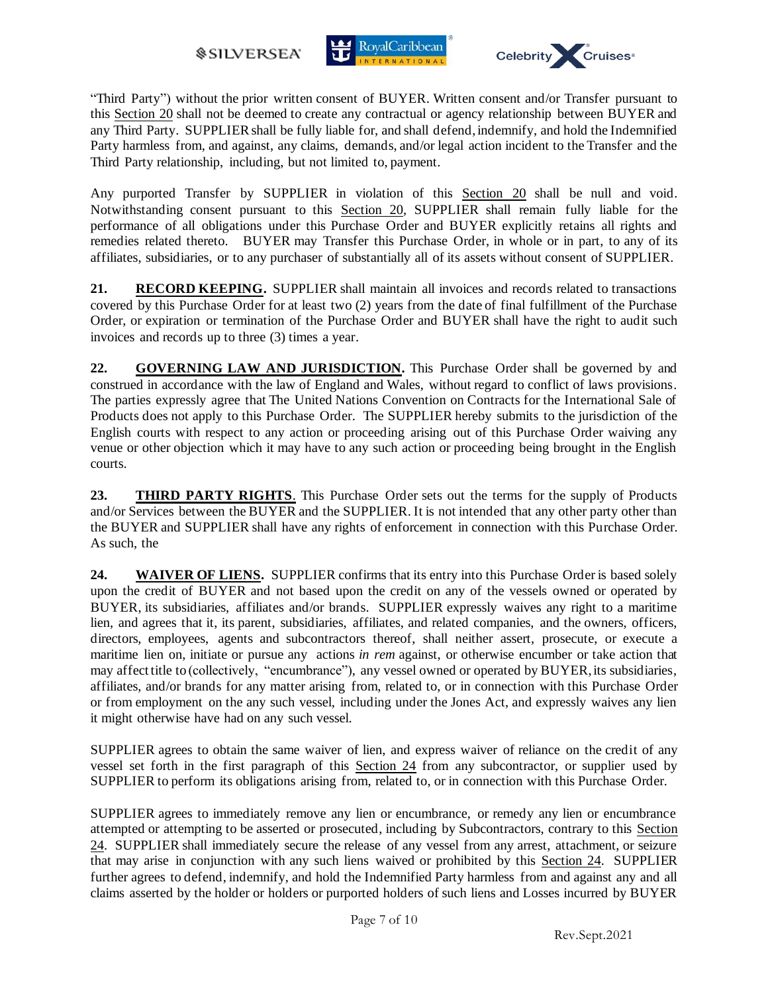



"Third Party") without the prior written consent of BUYER. Written consent and/or Transfer pursuant to this Section 20 shall not be deemed to create any contractual or agency relationship between BUYER and any Third Party. SUPPLIER shall be fully liable for, and shall defend, indemnify, and hold the Indemnified Party harmless from, and against, any claims, demands, and/or legal action incident to the Transfer and the Third Party relationship, including, but not limited to, payment.

Any purported Transfer by SUPPLIER in violation of this Section 20 shall be null and void. Notwithstanding consent pursuant to this Section 20, SUPPLIER shall remain fully liable for the performance of all obligations under this Purchase Order and BUYER explicitly retains all rights and remedies related thereto. BUYER may Transfer this Purchase Order, in whole or in part, to any of its affiliates, subsidiaries, or to any purchaser of substantially all of its assets without consent of SUPPLIER.

21. **RECORD KEEPING.** SUPPLIER shall maintain all invoices and records related to transactions covered by this Purchase Order for at least two (2) years from the date of final fulfillment of the Purchase Order, or expiration or termination of the Purchase Order and BUYER shall have the right to audit such invoices and records up to three (3) times a year.

**22. GOVERNING LAW AND JURISDICTION.** This Purchase Order shall be governed by and construed in accordance with the law of England and Wales, without regard to conflict of laws provisions. The parties expressly agree that The United Nations Convention on Contracts for the International Sale of Products does not apply to this Purchase Order. The SUPPLIER hereby submits to the jurisdiction of the English courts with respect to any action or proceeding arising out of this Purchase Order waiving any venue or other objection which it may have to any such action or proceeding being brought in the English courts.

**23. THIRD PARTY RIGHTS**. This Purchase Order sets out the terms for the supply of Products and/or Services between the BUYER and the SUPPLIER. It is not intended that any other party other than the BUYER and SUPPLIER shall have any rights of enforcement in connection with this Purchase Order. As such, the

**24. WAIVER OF LIENS.** SUPPLIER confirms that its entry into this Purchase Order is based solely upon the credit of BUYER and not based upon the credit on any of the vessels owned or operated by BUYER, its subsidiaries, affiliates and/or brands. SUPPLIER expressly waives any right to a maritime lien, and agrees that it, its parent, subsidiaries, affiliates, and related companies, and the owners, officers, directors, employees, agents and subcontractors thereof, shall neither assert, prosecute, or execute a maritime lien on, initiate or pursue any actions *in rem* against, or otherwise encumber or take action that may affect title to (collectively, "encumbrance"), any vessel owned or operated by BUYER, its subsidiaries, affiliates, and/or brands for any matter arising from, related to, or in connection with this Purchase Order or from employment on the any such vessel, including under the Jones Act, and expressly waives any lien it might otherwise have had on any such vessel.

SUPPLIER agrees to obtain the same waiver of lien, and express waiver of reliance on the credit of any vessel set forth in the first paragraph of this Section 24 from any subcontractor, or supplier used by SUPPLIER to perform its obligations arising from, related to, or in connection with this Purchase Order.

SUPPLIER agrees to immediately remove any lien or encumbrance, or remedy any lien or encumbrance attempted or attempting to be asserted or prosecuted, including by Subcontractors, contrary to this Section 24. SUPPLIER shall immediately secure the release of any vessel from any arrest, attachment, or seizure that may arise in conjunction with any such liens waived or prohibited by this Section 24. SUPPLIER further agrees to defend, indemnify, and hold the Indemnified Party harmless from and against any and all claims asserted by the holder or holders or purported holders of such liens and Losses incurred by BUYER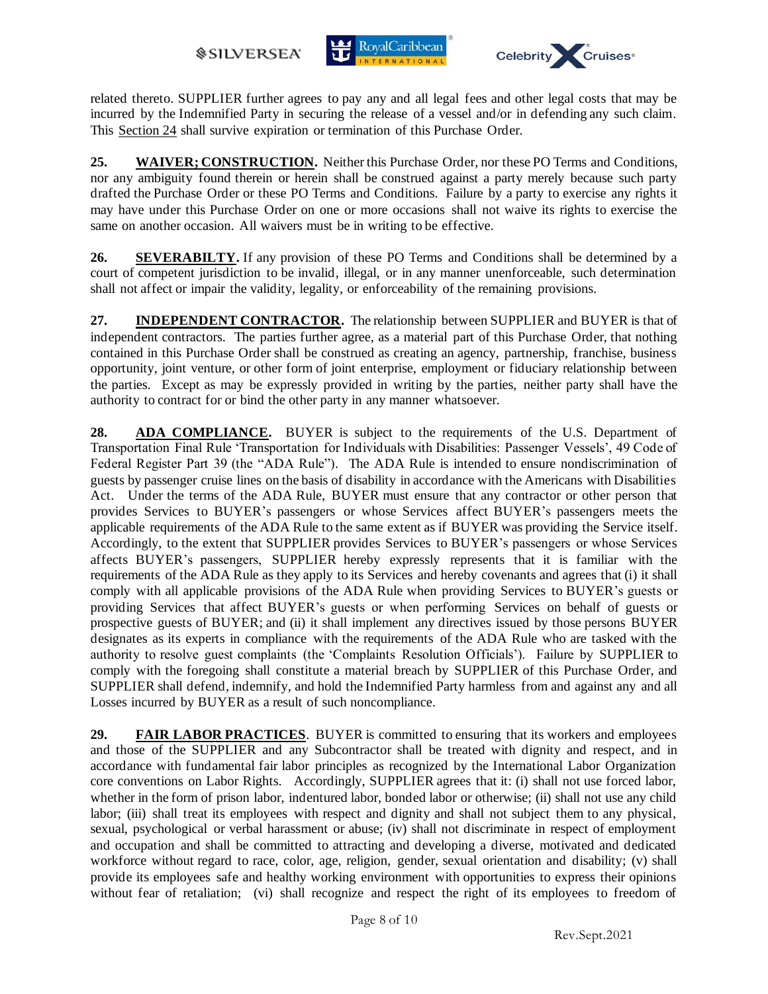



related thereto. SUPPLIER further agrees to pay any and all legal fees and other legal costs that may be incurred by the Indemnified Party in securing the release of a vessel and/or in defending any such claim. This Section 24 shall survive expiration or termination of this Purchase Order.

**25. WAIVER; CONSTRUCTION.** Neither this Purchase Order, nor these PO Terms and Conditions, nor any ambiguity found therein or herein shall be construed against a party merely because such party drafted the Purchase Order or these PO Terms and Conditions. Failure by a party to exercise any rights it may have under this Purchase Order on one or more occasions shall not waive its rights to exercise the same on another occasion. All waivers must be in writing to be effective.

**26. SEVERABILTY.** If any provision of these PO Terms and Conditions shall be determined by a court of competent jurisdiction to be invalid, illegal, or in any manner unenforceable, such determination shall not affect or impair the validity, legality, or enforceability of the remaining provisions.

**27. INDEPENDENT CONTRACTOR.** The relationship between SUPPLIER and BUYER is that of independent contractors. The parties further agree, as a material part of this Purchase Order, that nothing contained in this Purchase Order shall be construed as creating an agency, partnership, franchise, business opportunity, joint venture, or other form of joint enterprise, employment or fiduciary relationship between the parties. Except as may be expressly provided in writing by the parties, neither party shall have the authority to contract for or bind the other party in any manner whatsoever.

**28. ADA COMPLIANCE.** BUYER is subject to the requirements of the U.S. Department of Transportation Final Rule 'Transportation for Individuals with Disabilities: Passenger Vessels', 49 Code of Federal Register Part 39 (the "ADA Rule"). The ADA Rule is intended to ensure nondiscrimination of guests by passenger cruise lines on the basis of disability in accordance with the Americans with Disabilities Act. Under the terms of the ADA Rule, BUYER must ensure that any contractor or other person that provides Services to BUYER's passengers or whose Services affect BUYER's passengers meets the applicable requirements of the ADA Rule to the same extent as if BUYER was providing the Service itself. Accordingly, to the extent that SUPPLIER provides Services to BUYER's passengers or whose Services affects BUYER's passengers, SUPPLIER hereby expressly represents that it is familiar with the requirements of the ADA Rule as they apply to its Services and hereby covenants and agrees that (i) it shall comply with all applicable provisions of the ADA Rule when providing Services to BUYER's guests or providing Services that affect BUYER's guests or when performing Services on behalf of guests or prospective guests of BUYER; and (ii) it shall implement any directives issued by those persons BUYER designates as its experts in compliance with the requirements of the ADA Rule who are tasked with the authority to resolve guest complaints (the 'Complaints Resolution Officials'). Failure by SUPPLIER to comply with the foregoing shall constitute a material breach by SUPPLIER of this Purchase Order, and SUPPLIER shall defend, indemnify, and hold the Indemnified Party harmless from and against any and all Losses incurred by BUYER as a result of such noncompliance.

**29. FAIR LABOR PRACTICES.** BUYER is committed to ensuring that its workers and employees and those of the SUPPLIER and any Subcontractor shall be treated with dignity and respect, and in accordance with fundamental fair labor principles as recognized by the International Labor Organization core conventions on Labor Rights. Accordingly, SUPPLIER agrees that it: (i) shall not use forced labor, whether in the form of prison labor, indentured labor, bonded labor or otherwise; (ii) shall not use any child labor; (iii) shall treat its employees with respect and dignity and shall not subject them to any physical, sexual, psychological or verbal harassment or abuse; (iv) shall not discriminate in respect of employment and occupation and shall be committed to attracting and developing a diverse, motivated and dedicated workforce without regard to race, color, age, religion, gender, sexual orientation and disability; (v) shall provide its employees safe and healthy working environment with opportunities to express their opinions without fear of retaliation; (vi) shall recognize and respect the right of its employees to freedom of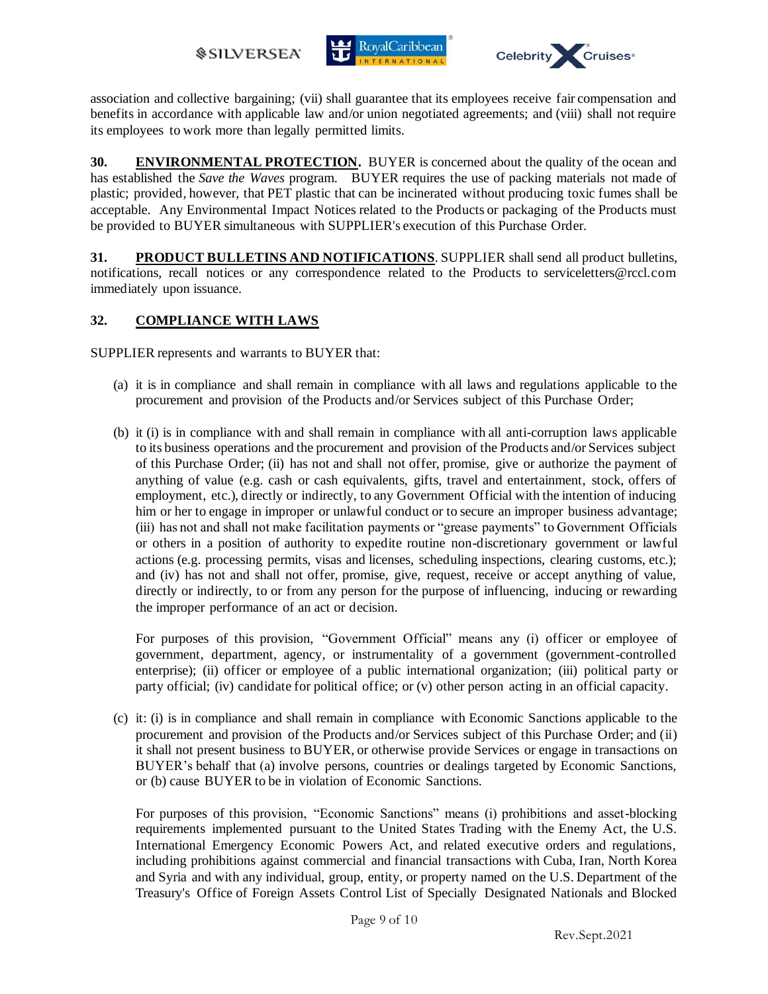



association and collective bargaining; (vii) shall guarantee that its employees receive fair compensation and benefits in accordance with applicable law and/or union negotiated agreements; and (viii) shall not require its employees to work more than legally permitted limits.

**30. ENVIRONMENTAL PROTECTION.** BUYER is concerned about the quality of the ocean and has established the *Save the Waves* program. BUYER requires the use of packing materials not made of plastic; provided, however, that PET plastic that can be incinerated without producing toxic fumes shall be acceptable. Any Environmental Impact Notices related to the Products or packaging of the Products must be provided to BUYER simultaneous with SUPPLIER's execution of this Purchase Order.

**31. PRODUCT BULLETINS AND NOTIFICATIONS**. SUPPLIER shall send all product bulletins, notifications, recall notices or any correspondence related to the Products to serviceletters@rccl.com immediately upon issuance.

## **32. COMPLIANCE WITH LAWS**

SUPPLIER represents and warrants to BUYER that:

- (a) it is in compliance and shall remain in compliance with all laws and regulations applicable to the procurement and provision of the Products and/or Services subject of this Purchase Order;
- (b) it (i) is in compliance with and shall remain in compliance with all anti-corruption laws applicable to its business operations and the procurement and provision of the Products and/or Services subject of this Purchase Order; (ii) has not and shall not offer, promise, give or authorize the payment of anything of value (e.g. cash or cash equivalents, gifts, travel and entertainment, stock, offers of employment, etc.), directly or indirectly, to any Government Official with the intention of inducing him or her to engage in improper or unlawful conduct or to secure an improper business advantage; (iii) has not and shall not make facilitation payments or "grease payments" to Government Officials or others in a position of authority to expedite routine non-discretionary government or lawful actions (e.g. processing permits, visas and licenses, scheduling inspections, clearing customs, etc.); and (iv) has not and shall not offer, promise, give, request, receive or accept anything of value, directly or indirectly, to or from any person for the purpose of influencing, inducing or rewarding the improper performance of an act or decision.

For purposes of this provision, "Government Official" means any (i) officer or employee of government, department, agency, or instrumentality of a government (government-controlled enterprise); (ii) officer or employee of a public international organization; (iii) political party or party official; (iv) candidate for political office; or (v) other person acting in an official capacity.

(c) it: (i) is in compliance and shall remain in compliance with Economic Sanctions applicable to the procurement and provision of the Products and/or Services subject of this Purchase Order; and (ii) it shall not present business to BUYER, or otherwise provide Services or engage in transactions on BUYER's behalf that (a) involve persons, countries or dealings targeted by Economic Sanctions, or (b) cause BUYER to be in violation of Economic Sanctions.

For purposes of this provision, "Economic Sanctions" means (i) prohibitions and asset-blocking requirements implemented pursuant to the United States Trading with the Enemy Act, the U.S. International Emergency Economic Powers Act, and related executive orders and regulations, including prohibitions against commercial and financial transactions with Cuba, Iran, North Korea and Syria and with any individual, group, entity, or property named on the U.S. Department of the Treasury's Office of Foreign Assets Control List of Specially Designated Nationals and Blocked